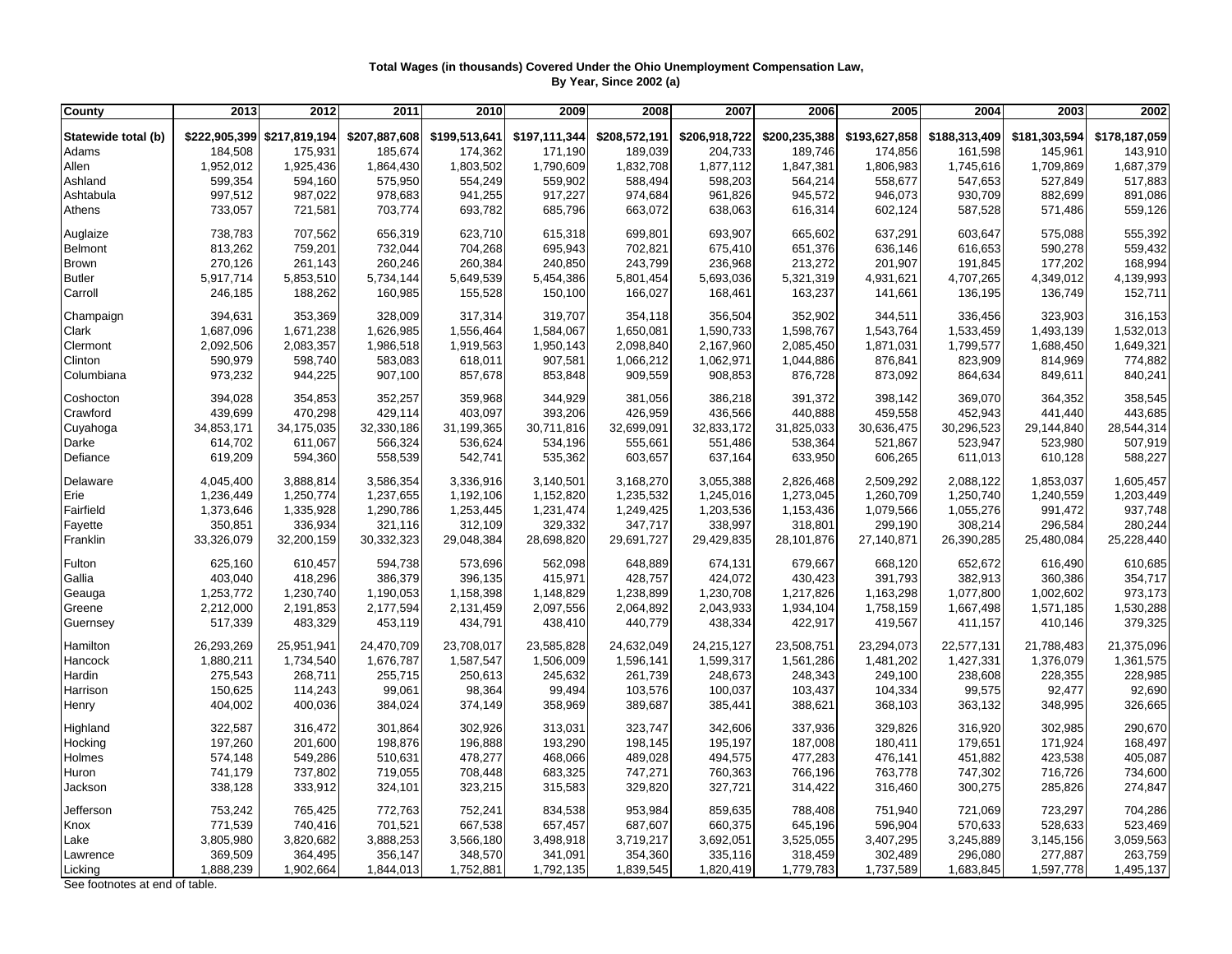## **Total Wages (in thousands) Covered Under the Ohio Unemployment Compensation Law, By Year, Since 2002 (a)**

| County              | 2013          | 2012          | 2011          | 2010          | 2009          | 2008          | 2007          | 2006          | 2005          | 2004          | 2003          | 2002          |
|---------------------|---------------|---------------|---------------|---------------|---------------|---------------|---------------|---------------|---------------|---------------|---------------|---------------|
| Statewide total (b) | \$222,905,399 | \$217,819,194 | \$207,887,608 | \$199,513,641 | \$197,111,344 | \$208,572,191 | \$206,918,722 | \$200,235,388 | \$193,627,858 | \$188,313,409 | \$181,303,594 | \$178,187,059 |
| Adams               | 184,508       | 175,931       | 185,674       | 174,362       | 171,190       | 189,039       | 204,733       | 189,746       | 174,856       | 161,598       | 145,961       | 143,910       |
| Allen               | 1,952,012     | 1,925,436     | 1,864,430     | 1,803,502     | 1,790,609     | 1,832,708     | 1,877,112     | 1,847,381     | 1,806,983     | 1,745,616     | 1,709,869     | 1,687,379     |
| Ashland             | 599,354       | 594,160       | 575,950       | 554,249       | 559,902       | 588,494       | 598,203       | 564,214       | 558,677       | 547,653       | 527,849       | 517,883       |
| Ashtabula           | 997,512       | 987,022       | 978,683       | 941,255       | 917,227       | 974,684       | 961,826       | 945,572       | 946,073       | 930,709       | 882,699       | 891,086       |
| Athens              | 733,057       | 721,581       | 703,774       | 693,782       | 685,796       | 663,072       | 638,063       | 616,314       | 602,124       | 587,528       | 571,486       | 559,126       |
|                     |               |               |               |               |               |               |               |               |               |               |               |               |
| Auglaize            | 738,783       | 707,562       | 656,319       | 623,710       | 615,318       | 699,801       | 693,907       | 665,602       | 637,291       | 603,647       | 575,088       | 555,392       |
| Belmont             | 813,262       | 759,201       | 732,044       | 704,268       | 695,943       | 702,821       | 675,410       | 651,376       | 636,146       | 616,653       | 590,278       | 559,432       |
| <b>Brown</b>        | 270,126       | 261,143       | 260,246       | 260,384       | 240,850       | 243,799       | 236,968       | 213,272       | 201,907       | 191,845       | 177,202       | 168,994       |
| <b>Butler</b>       | 5,917,714     | 5,853,510     | 5,734,144     | 5,649,539     | 5,454,386     | 5,801,454     | 5,693,036     | 5,321,319     | 4,931,621     | 4,707,265     | 4,349,012     | 4,139,993     |
| Carroll             | 246,185       | 188,262       | 160,985       | 155,528       | 150,100       | 166,027       | 168,461       | 163,237       | 141,661       | 136,195       | 136,749       | 152,711       |
| Champaign           | 394,631       | 353,369       | 328,009       | 317,314       | 319,707       | 354,118       | 356,504       | 352,902       | 344,511       | 336,456       | 323,903       | 316,153       |
| Clark               | 1,687,096     | 1,671,238     | 1,626,985     | 1,556,464     | 1,584,067     | 1,650,081     | 1,590,733     | 1,598,767     | 1,543,764     | 1,533,459     | 1,493,139     | 1,532,013     |
| Clermont            | 2,092,506     | 2,083,357     | 1,986,518     | 1,919,563     | 1,950,143     | 2,098,840     | 2,167,960     | 2,085,450     | 1,871,031     | 1,799,577     | 1,688,450     | 1,649,321     |
| Clinton             | 590,979       | 598,740       | 583,083       | 618,011       | 907,581       | 1,066,212     | 1,062,971     | 1,044,886     | 876,841       | 823,909       | 814,969       | 774,882       |
| Columbiana          | 973,232       | 944,225       | 907,100       | 857,678       | 853,848       | 909,559       | 908,853       | 876,728       | 873,092       | 864,634       | 849,611       | 840,241       |
| Coshocton           | 394,028       | 354,853       | 352,257       | 359,968       | 344,929       | 381,056       | 386,218       | 391,372       | 398,142       | 369,070       | 364,352       | 358,545       |
| Crawford            | 439,699       | 470,298       | 429,114       | 403,097       | 393,206       | 426,959       | 436,566       | 440,888       | 459,558       | 452,943       | 441,440       | 443,685       |
| Cuyahoga            | 34,853,171    | 34,175,035    | 32,330,186    | 31,199,365    | 30,711,816    | 32,699,091    | 32,833,172    | 31,825,033    | 30,636,475    | 30,296,523    | 29,144,840    | 28,544,314    |
| Darke               | 614,702       | 611,067       | 566,324       | 536,624       | 534,196       | 555,661       | 551,486       | 538,364       | 521,867       | 523,947       | 523,980       | 507,919       |
| Defiance            | 619,209       | 594,360       | 558,539       | 542,741       | 535,362       | 603,657       | 637,164       | 633,950       | 606,265       | 611,013       | 610,128       | 588,227       |
|                     |               |               |               |               |               |               |               |               |               |               |               |               |
| Delaware            | 4,045,400     | 3,888,814     | 3,586,354     | 3,336,916     | 3,140,501     | 3,168,270     | 3,055,388     | 2,826,468     | 2,509,292     | 2,088,122     | 1,853,037     | 1,605,457     |
| Erie                | 1,236,449     | 1,250,774     | 1,237,655     | 1,192,106     | 1,152,820     | 1,235,532     | 1,245,016     | 1,273,045     | 1,260,709     | 1,250,740     | 1,240,559     | 1,203,449     |
| Fairfield           | 1,373,646     | 1,335,928     | 1,290,786     | 1,253,445     | 1,231,474     | 1,249,425     | 1,203,536     | 1,153,436     | 1,079,566     | 1,055,276     | 991,472       | 937,748       |
| Fayette             | 350,851       | 336,934       | 321,116       | 312,109       | 329,332       | 347,717       | 338,997       | 318,801       | 299,190       | 308,214       | 296,584       | 280,244       |
| Franklin            | 33,326,079    | 32,200,159    | 30,332,323    | 29,048,384    | 28,698,820    | 29,691,727    | 29,429,835    | 28,101,876    | 27,140,871    | 26,390,285    | 25,480,084    | 25,228,440    |
| Fulton              | 625,160       | 610,457       | 594,738       | 573,696       | 562,098       | 648,889       | 674,131       | 679,667       | 668,120       | 652,672       | 616,490       | 610,685       |
| Gallia              | 403,040       | 418,296       | 386,379       | 396,135       | 415,971       | 428,757       | 424,072       | 430,423       | 391,793       | 382,913       | 360,386       | 354,717       |
| Geauga              | 1,253,772     | 1,230,740     | 1,190,053     | 1,158,398     | 1,148,829     | 1,238,899     | 1,230,708     | 1,217,826     | 1,163,298     | 1,077,800     | 1,002,602     | 973,173       |
| Greene              | 2,212,000     | 2,191,853     | 2,177,594     | 2,131,459     | 2,097,556     | 2,064,892     | 2,043,933     | 1,934,104     | 1,758,159     | 1,667,498     | 1,571,185     | 1,530,288     |
| Guernsey            | 517,339       | 483,329       | 453,119       | 434,791       | 438,410       | 440,779       | 438,334       | 422,917       | 419,567       | 411,157       | 410,146       | 379,325       |
| Hamilton            | 26,293,269    | 25,951,941    | 24,470,709    | 23,708,017    | 23,585,828    | 24,632,049    | 24,215,127    | 23,508,751    | 23,294,073    | 22,577,131    | 21,788,483    | 21,375,096    |
| Hancock             | 1,880,211     | 1,734,540     | 1,676,787     | 1,587,547     | 1,506,009     | 1,596,141     | 1,599,317     | 1,561,286     | 1,481,202     | 1,427,331     | 1,376,079     | 1,361,575     |
| Hardin              | 275,543       | 268,711       | 255,715       | 250,613       | 245,632       | 261,739       | 248,673       | 248,343       | 249,100       | 238,608       | 228,355       | 228,985       |
| Harrison            | 150,625       | 114,243       | 99,061        | 98,364        | 99,494        | 103,576       | 100,037       | 103,437       | 104,334       | 99,575        | 92,477        | 92,690        |
| Henry               | 404,002       | 400,036       | 384,024       | 374,149       | 358,969       | 389,687       | 385,441       | 388,621       | 368,103       | 363,132       | 348,995       | 326,665       |
| Highland            | 322,587       | 316,472       | 301,864       | 302,926       | 313,031       | 323,747       | 342,606       | 337,936       | 329,826       | 316,920       | 302,985       | 290,670       |
| Hocking             | 197,260       | 201,600       | 198,876       | 196,888       | 193,290       | 198,145       | 195,197       | 187,008       | 180,411       | 179,651       | 171,924       | 168,497       |
| Holmes              | 574,148       | 549,286       | 510,631       | 478,277       | 468,066       | 489,028       | 494,575       | 477,283       | 476,141       | 451,882       | 423,538       | 405,087       |
|                     | 741,179       | 737,802       |               |               |               | 747,271       |               |               |               |               | 716,726       | 734,600       |
| Huron               |               |               | 719,055       | 708,448       | 683,325       |               | 760,363       | 766,196       | 763,778       | 747,302       |               | 274,847       |
| Jackson             | 338,128       | 333,912       | 324,101       | 323,215       | 315,583       | 329,820       | 327,721       | 314,422       | 316,460       | 300,275       | 285,826       |               |
| Jefferson           | 753,242       | 765,425       | 772,763       | 752,241       | 834,538       | 953,984       | 859,635       | 788,408       | 751,940       | 721,069       | 723,297       | 704,286       |
| Knox                | 771,539       | 740,416       | 701,521       | 667,538       | 657,457       | 687,607       | 660,375       | 645,196       | 596,904       | 570,633       | 528,633       | 523,469       |
| Lake                | 3,805,980     | 3,820,682     | 3,888,253     | 3,566,180     | 3,498,918     | 3,719,217     | 3,692,051     | 3,525,055     | 3,407,295     | 3,245,889     | 3,145,156     | 3,059,563     |
| Lawrence            | 369,509       | 364,495       | 356,147       | 348,570       | 341,091       | 354,360       | 335,116       | 318,459       | 302,489       | 296,080       | 277,887       | 263,759       |
| Licking             | 1,888,239     | 1,902,664     | 1,844,013     | 1,752,881     | 1,792,135     | 1,839,545     | 1,820,419     | 1,779,783     | 1,737,589     | 1,683,845     | 1,597,778     | 1,495,137     |

See footnotes at end of table.